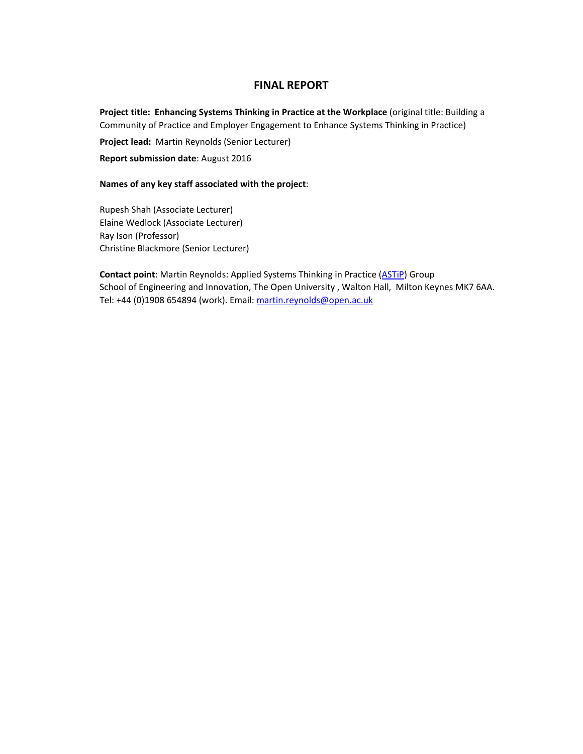# **FINAL REPORT**

**Project title: Enhancing Systems Thinking in Practice at the Workplace** (original title: Building a Community of Practice and Employer Engagement to Enhance Systems Thinking in Practice)

**Project lead:** Martin Reynolds (Senior Lecturer)

**Report submission date**: August 2016

#### **Names of any key staff associated with the project**:

Rupesh Shah (Associate Lecturer) Elaine Wedlock (Associate Lecturer) Ray Ison (Professor) Christine Blackmore (Senior Lecturer)

**Contact point:** Martin Reynolds: Applied Systems Thinking in Practice (ASTIP) Group School of Engineering and Innovation, The Open University , Walton Hall, Milton Keynes MK7 6AA. Tel: +44 (0)1908 654894 (work). Email: martin.reynolds@open.ac.uk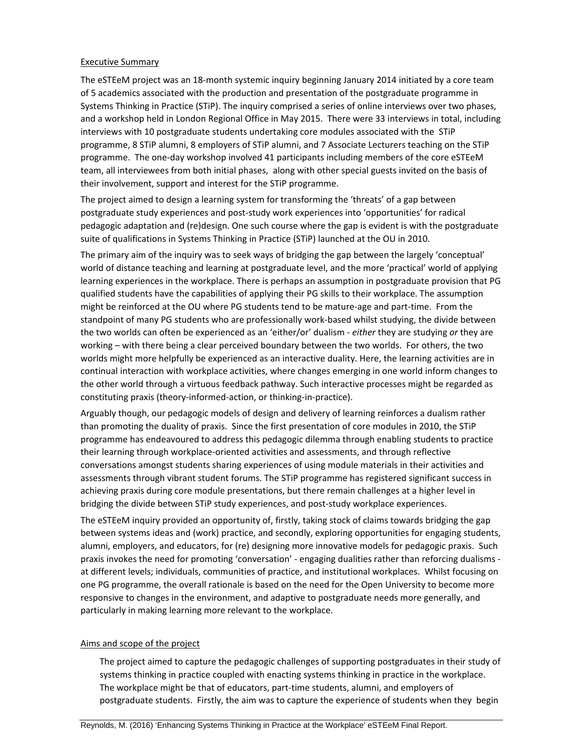#### Executive Summary

The eSTEeM project was an 18‐month systemic inquiry beginning January 2014 initiated by a core team of 5 academics associated with the production and presentation of the postgraduate programme in Systems Thinking in Practice (STiP). The inquiry comprised a series of online interviews over two phases, and a workshop held in London Regional Office in May 2015. There were 33 interviews in total, including interviews with 10 postgraduate students undertaking core modules associated with the STiP programme, 8 STiP alumni, 8 employers of STiP alumni, and 7 Associate Lecturers teaching on the STiP programme. The one‐day workshop involved 41 participants including members of the core eSTEeM team, all interviewees from both initial phases, along with other special guests invited on the basis of their involvement, support and interest for the STiP programme.

The project aimed to design a learning system for transforming the 'threats' of a gap between postgraduate study experiences and post‐study work experiences into 'opportunities' for radical pedagogic adaptation and (re)design. One such course where the gap is evident is with the postgraduate suite of qualifications in Systems Thinking in Practice (STiP) launched at the OU in 2010.

The primary aim of the inquiry was to seek ways of bridging the gap between the largely 'conceptual' world of distance teaching and learning at postgraduate level, and the more 'practical' world of applying learning experiences in the workplace. There is perhaps an assumption in postgraduate provision that PG qualified students have the capabilities of applying their PG skills to their workplace. The assumption might be reinforced at the OU where PG students tend to be mature‐age and part‐time. From the standpoint of many PG students who are professionally work‐based whilst studying, the divide between the two worlds can often be experienced as an 'either/or' dualism ‐ *either* they are studying *or* they are working – with there being a clear perceived boundary between the two worlds. For others, the two worlds might more helpfully be experienced as an interactive duality. Here, the learning activities are in continual interaction with workplace activities, where changes emerging in one world inform changes to the other world through a virtuous feedback pathway. Such interactive processes might be regarded as constituting praxis (theory‐informed‐action, or thinking‐in‐practice).

Arguably though, our pedagogic models of design and delivery of learning reinforces a dualism rather than promoting the duality of praxis. Since the first presentation of core modules in 2010, the STiP programme has endeavoured to address this pedagogic dilemma through enabling students to practice their learning through workplace‐oriented activities and assessments, and through reflective conversations amongst students sharing experiences of using module materials in their activities and assessments through vibrant student forums. The STiP programme has registered significant success in achieving praxis during core module presentations, but there remain challenges at a higher level in bridging the divide between STiP study experiences, and post‐study workplace experiences.

The eSTEeM inquiry provided an opportunity of, firstly, taking stock of claims towards bridging the gap between systems ideas and (work) practice, and secondly, exploring opportunities for engaging students, alumni, employers, and educators, for (re) designing more innovative models for pedagogic praxis. Such praxis invokes the need for promoting 'conversation' - engaging dualities rather than reforcing dualisms at different levels; individuals, communities of practice, and institutional workplaces. Whilst focusing on one PG programme, the overall rationale is based on the need for the Open University to become more responsive to changes in the environment, and adaptive to postgraduate needs more generally, and particularly in making learning more relevant to the workplace.

#### Aims and scope of the project

The project aimed to capture the pedagogic challenges of supporting postgraduates in their study of systems thinking in practice coupled with enacting systems thinking in practice in the workplace. The workplace might be that of educators, part‐time students, alumni, and employers of postgraduate students. Firstly, the aim was to capture the experience of students when they begin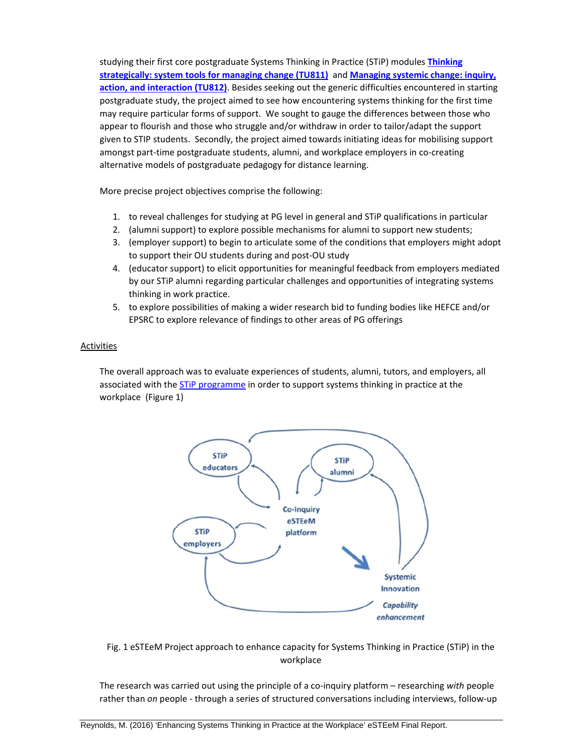studying their first core postgraduate Systems Thinking in Practice (STiP) modules **Thinking strategically: system tools for managing change (TU811)** and **Managing systemic change: inquiry, action, and interaction (TU812)**. Besides seeking out the generic difficulties encountered in starting postgraduate study, the project aimed to see how encountering systems thinking for the first time may require particular forms of support. We sought to gauge the differences between those who appear to flourish and those who struggle and/or withdraw in order to tailor/adapt the support given to STIP students. Secondly, the project aimed towards initiating ideas for mobilising support amongst part‐time postgraduate students, alumni, and workplace employers in co‐creating alternative models of postgraduate pedagogy for distance learning.

More precise project objectives comprise the following:

- 1. to reveal challenges for studying at PG level in general and STiP qualifications in particular
- 2. (alumni support) to explore possible mechanisms for alumni to support new students;
- 3. (employer support) to begin to articulate some of the conditions that employers might adopt to support their OU students during and post‐OU study
- 4. (educator support) to elicit opportunities for meaningful feedback from employers mediated by our STiP alumni regarding particular challenges and opportunities of integrating systems thinking in work practice.
- 5. to explore possibilities of making a wider research bid to funding bodies like HEFCE and/or EPSRC to explore relevance of findings to other areas of PG offerings

### **Activities**

The overall approach was to evaluate experiences of students, alumni, tutors, and employers, all associated with the STiP programme in order to support systems thinking in practice at the workplace (Figure 1)



Fig. 1 eSTEeM Project approach to enhance capacity for Systems Thinking in Practice (STiP) in the workplace

The research was carried out using the principle of a co‐inquiry platform – researching *with* people rather than *on* people ‐ through a series of structured conversations including interviews, follow‐up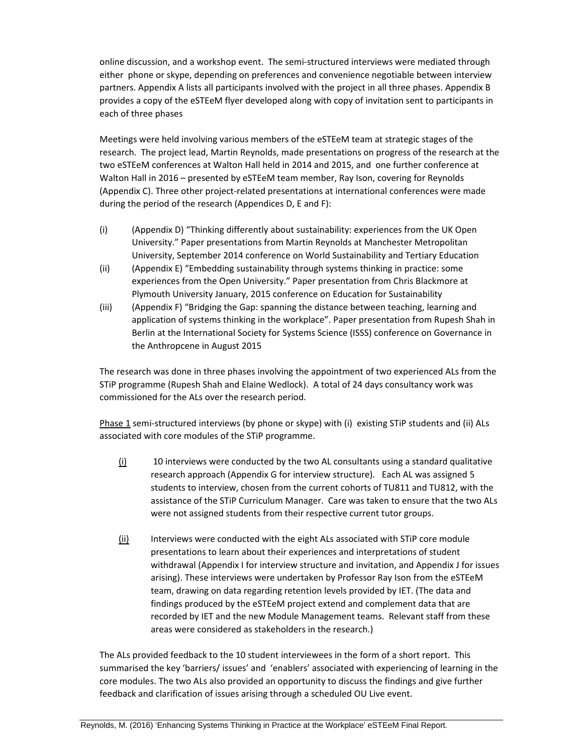online discussion, and a workshop event. The semi‐structured interviews were mediated through either phone or skype, depending on preferences and convenience negotiable between interview partners. Appendix A lists all participants involved with the project in all three phases. Appendix B provides a copy of the eSTEeM flyer developed along with copy of invitation sent to participants in each of three phases

Meetings were held involving various members of the eSTEeM team at strategic stages of the research. The project lead, Martin Reynolds, made presentations on progress of the research at the two eSTEeM conferences at Walton Hall held in 2014 and 2015, and one further conference at Walton Hall in 2016 – presented by eSTEeM team member, Ray Ison, covering for Reynolds (Appendix C). Three other project-related presentations at international conferences were made during the period of the research (Appendices D, E and F):

- (i) (Appendix D) "Thinking differently about sustainability: experiences from the UK Open University." Paper presentations from Martin Reynolds at Manchester Metropolitan University, September 2014 conference on World Sustainability and Tertiary Education
- (ii) (Appendix E) "Embedding sustainability through systems thinking in practice: some experiences from the Open University." Paper presentation from Chris Blackmore at Plymouth University January, 2015 conference on Education for Sustainability
- (iii) (Appendix F) "Bridging the Gap: spanning the distance between teaching, learning and application of systems thinking in the workplace". Paper presentation from Rupesh Shah in Berlin at the International Society for Systems Science (ISSS) conference on Governance in the Anthropcene in August 2015

The research was done in three phases involving the appointment of two experienced ALs from the STiP programme (Rupesh Shah and Elaine Wedlock). A total of 24 days consultancy work was commissioned for the ALs over the research period.

Phase 1 semi-structured interviews (by phone or skype) with (i) existing STiP students and (ii) ALs associated with core modules of the STiP programme.

- (i) 10 interviews were conducted by the two AL consultants using a standard qualitative research approach (Appendix G for interview structure). Each AL was assigned 5 students to interview, chosen from the current cohorts of TU811 and TU812, with the assistance of the STiP Curriculum Manager. Care was taken to ensure that the two ALs were not assigned students from their respective current tutor groups.
- $(i)$  Interviews were conducted with the eight ALs associated with STIP core module presentations to learn about their experiences and interpretations of student withdrawal (Appendix I for interview structure and invitation, and Appendix J for issues arising). These interviews were undertaken by Professor Ray Ison from the eSTEeM team, drawing on data regarding retention levels provided by IET. (The data and findings produced by the eSTEeM project extend and complement data that are recorded by IET and the new Module Management teams. Relevant staff from these areas were considered as stakeholders in the research.)

The ALs provided feedback to the 10 student interviewees in the form of a short report. This summarised the key 'barriers/ issues' and 'enablers' associated with experiencing of learning in the core modules. The two ALs also provided an opportunity to discuss the findings and give further feedback and clarification of issues arising through a scheduled OU Live event.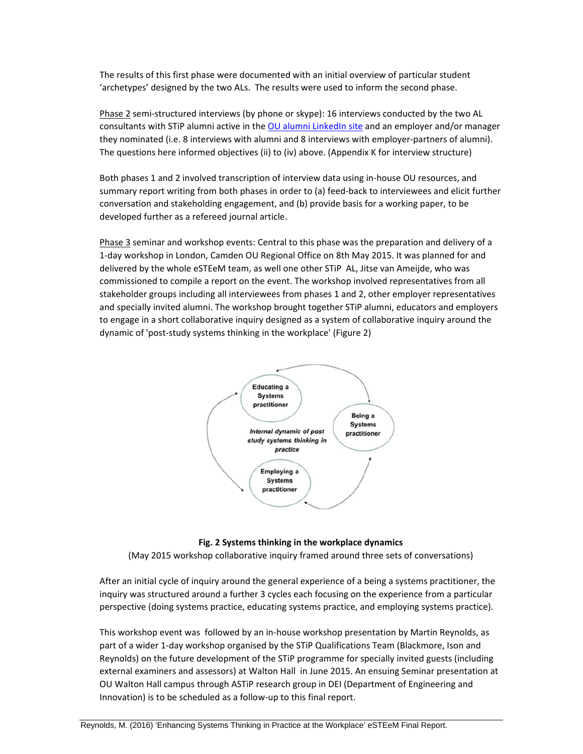The results of this first phase were documented with an initial overview of particular student 'archetypes' designed by the two ALs. The results were used to inform the second phase.

Phase 2 semi-structured interviews (by phone or skype): 16 interviews conducted by the two AL consultants with STiP alumni active in the OU alumni LinkedIn site and an employer and/or manager they nominated (i.e. 8 interviews with alumni and 8 interviews with employer‐partners of alumni). The questions here informed objectives (ii) to (iv) above. (Appendix K for interview structure)

Both phases 1 and 2 involved transcription of interview data using in‐house OU resources, and summary report writing from both phases in order to (a) feed‐back to interviewees and elicit further conversation and stakeholding engagement, and (b) provide basis for a working paper, to be developed further as a refereed journal article.

Phase 3 seminar and workshop events: Central to this phase was the preparation and delivery of a 1‐day workshop in London, Camden OU Regional Office on 8th May 2015. It was planned for and delivered by the whole eSTEeM team, as well one other STiP AL, Jitse van Ameijde, who was commissioned to compile a report on the event. The workshop involved representatives from all stakeholder groups including all interviewees from phases 1 and 2, other employer representatives and specially invited alumni. The workshop brought together STiP alumni, educators and employers to engage in a short collaborative inquiry designed as a system of collaborative inquiry around the dynamic of 'post‐study systems thinking in the workplace' (Figure 2)



#### **Fig. 2 Systems thinking in the workplace dynamics**

(May 2015 workshop collaborative inquiry framed around three sets of conversations)

After an initial cycle of inquiry around the general experience of a being a systems practitioner, the inquiry was structured around a further 3 cycles each focusing on the experience from a particular perspective (doing systems practice, educating systems practice, and employing systems practice).

This workshop event was followed by an in‐house workshop presentation by Martin Reynolds, as part of a wider 1‐day workshop organised by the STiP Qualifications Team (Blackmore, Ison and Reynolds) on the future development of the STiP programme for specially invited guests (including external examiners and assessors) at Walton Hall in June 2015. An ensuing Seminar presentation at OU Walton Hall campus through ASTiP research group in DEI (Department of Engineering and Innovation) is to be scheduled as a follow-up to this final report.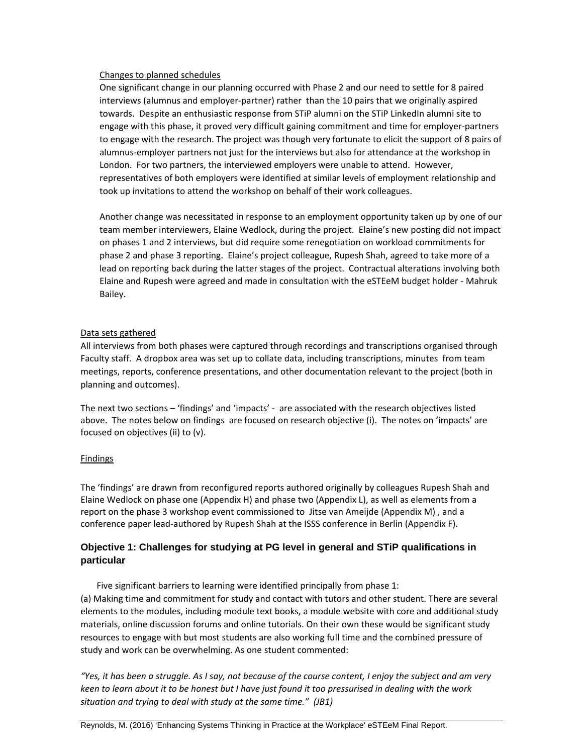#### Changes to planned schedules

One significant change in our planning occurred with Phase 2 and our need to settle for 8 paired interviews (alumnus and employer‐partner) rather than the 10 pairs that we originally aspired towards. Despite an enthusiastic response from STiP alumni on the STiP LinkedIn alumni site to engage with this phase, it proved very difficult gaining commitment and time for employer‐partners to engage with the research. The project was though very fortunate to elicit the support of 8 pairs of alumnus‐employer partners not just for the interviews but also for attendance at the workshop in London. For two partners, the interviewed employers were unable to attend. However, representatives of both employers were identified at similar levels of employment relationship and took up invitations to attend the workshop on behalf of their work colleagues.

Another change was necessitated in response to an employment opportunity taken up by one of our team member interviewers, Elaine Wedlock, during the project. Elaine's new posting did not impact on phases 1 and 2 interviews, but did require some renegotiation on workload commitments for phase 2 and phase 3 reporting. Elaine's project colleague, Rupesh Shah, agreed to take more of a lead on reporting back during the latter stages of the project. Contractual alterations involving both Elaine and Rupesh were agreed and made in consultation with the eSTEeM budget holder ‐ Mahruk Bailey.

#### Data sets gathered

All interviews from both phases were captured through recordings and transcriptions organised through Faculty staff. A dropbox area was set up to collate data, including transcriptions, minutes from team meetings, reports, conference presentations, and other documentation relevant to the project (both in planning and outcomes).

The next two sections – 'findings' and 'impacts' ‐ are associated with the research objectives listed above. The notes below on findings are focused on research objective (i). The notes on 'impacts' are focused on objectives (ii) to (v).

#### Findings

The 'findings' are drawn from reconfigured reports authored originally by colleagues Rupesh Shah and Elaine Wedlock on phase one (Appendix H) and phase two (Appendix L), as well as elements from a report on the phase 3 workshop event commissioned to Jitse van Ameijde (Appendix M) , and a conference paper lead-authored by Rupesh Shah at the ISSS conference in Berlin (Appendix F).

# **Objective 1: Challenges for studying at PG level in general and STiP qualifications in particular**

Five significant barriers to learning were identified principally from phase 1: (a) Making time and commitment for study and contact with tutors and other student. There are several elements to the modules, including module text books, a module website with core and additional study materials, online discussion forums and online tutorials. On their own these would be significant study resources to engage with but most students are also working full time and the combined pressure of study and work can be overwhelming. As one student commented:

"Yes, it has been a struggle. As I say, not because of the course content, I enjoy the subject and am very keen to learn about it to be honest but I have just found it too pressurised in dealing with the work *situation and trying to deal with study at the same time." (JB1)*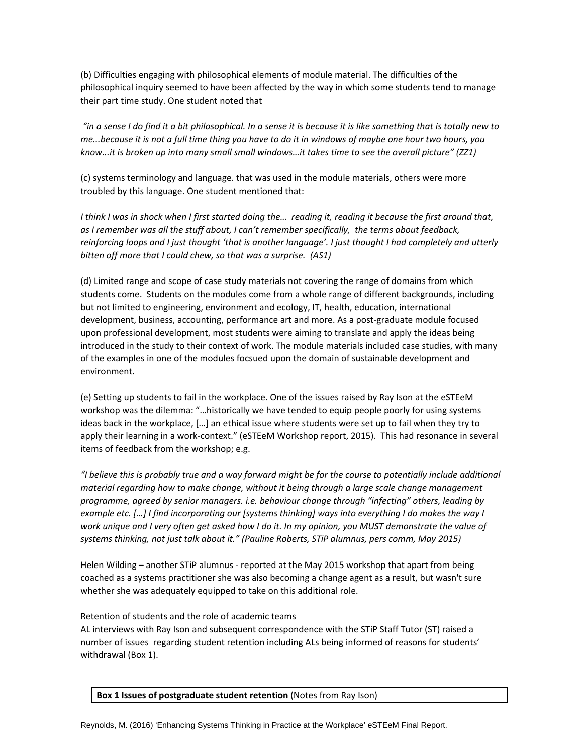(b) Difficulties engaging with philosophical elements of module material. The difficulties of the philosophical inquiry seemed to have been affected by the way in which some students tend to manage their part time study. One student noted that

"in a sense I do find it a bit philosophical. In a sense it is because it is like something that is totally new to me...because it is not a full time thing you have to do it in windows of maybe one hour two hours, you *know...it is broken up into many small small windows…it takes time to see the overall picture" (ZZ1)*

(c) systems terminology and language. that was used in the module materials, others were more troubled by this language. One student mentioned that:

I think I was in shock when I first started doing the... reading it, reading it because the first around that, *as I remember was all the stuff about, I can't remember specifically, the terms about feedback,* reinforcing loops and I just thought 'that is another language'. I just thought I had completely and utterly *bitten off more that I could chew, so that was a surprise. (AS1)*

(d) Limited range and scope of case study materials not covering the range of domains from which students come. Students on the modules come from a whole range of different backgrounds, including but not limited to engineering, environment and ecology, IT, health, education, international development, business, accounting, performance art and more. As a post-graduate module focused upon professional development, most students were aiming to translate and apply the ideas being introduced in the study to their context of work. The module materials included case studies, with many of the examples in one of the modules focsued upon the domain of sustainable development and environment.

(e) Setting up students to fail in the workplace. One of the issues raised by Ray Ison at the eSTEeM workshop was the dilemma: "…historically we have tended to equip people poorly for using systems ideas back in the workplace, […] an ethical issue where students were set up to fail when they try to apply their learning in a work‐context." (eSTEeM Workshop report, 2015). This had resonance in several items of feedback from the workshop; e.g.

"I believe this is probably true and a way forward might be for the course to potentially include additional *material regarding how to make change, without it being through a large scale change management programme, agreed by senior managers. i.e. behaviour change through "infecting" others, leading by* example etc. [...] I find incorporating our [systems thinking] ways into everything I do makes the way I work unique and I very often get asked how I do it. In my opinion, you MUST demonstrate the value of *systems thinking, not just talk about it." (Pauline Roberts, STiP alumnus, pers comm, May 2015)*

Helen Wilding – another STiP alumnus - reported at the May 2015 workshop that apart from being coached as a systems practitioner she was also becoming a change agent as a result, but wasn't sure whether she was adequately equipped to take on this additional role.

#### Retention of students and the role of academic teams

AL interviews with Ray Ison and subsequent correspondence with the STiP Staff Tutor (ST) raised a number of issues regarding student retention including ALs being informed of reasons for students' withdrawal (Box 1).

**Box 1 Issues of postgraduate student retention** (Notes from Ray Ison)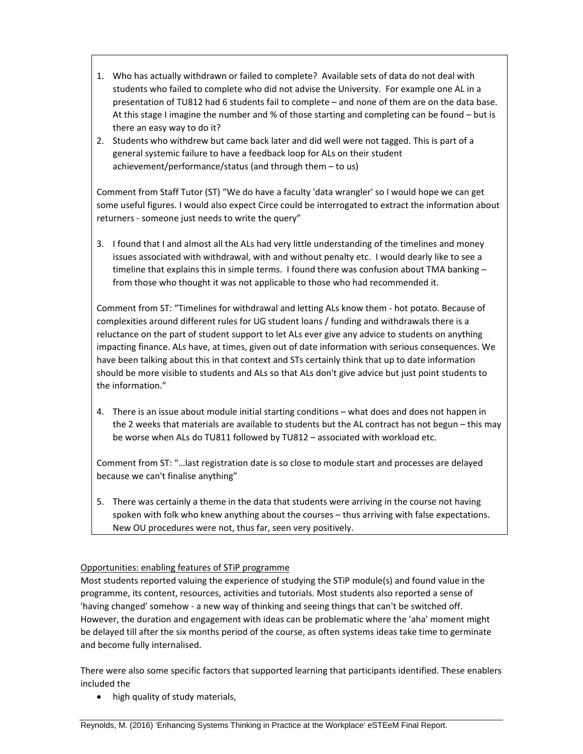- 1. Who has actually withdrawn or failed to complete? Available sets of data do not deal with students who failed to complete who did not advise the University. For example one AL in a presentation of TU812 had 6 students fail to complete – and none of them are on the data base. At this stage I imagine the number and % of those starting and completing can be found – but is there an easy way to do it?
- 2. Students who withdrew but came back later and did well were not tagged. This is part of a general systemic failure to have a feedback loop for ALs on their student achievement/performance/status (and through them – to us)

Comment from Staff Tutor (ST) "We do have a faculty 'data wrangler' so I would hope we can get some useful figures. I would also expect Circe could be interrogated to extract the information about returners ‐ someone just needs to write the query"

3. I found that I and almost all the ALs had very little understanding of the timelines and money issues associated with withdrawal, with and without penalty etc. I would dearly like to see a timeline that explains this in simple terms. I found there was confusion about TMA banking from those who thought it was not applicable to those who had recommended it.

Comment from ST: "Timelines for withdrawal and letting ALs know them ‐ hot potato. Because of complexities around different rules for UG student loans / funding and withdrawals there is a reluctance on the part of student support to let ALs ever give any advice to students on anything impacting finance. ALs have, at times, given out of date information with serious consequences. We have been talking about this in that context and STs certainly think that up to date information should be more visible to students and ALs so that ALs don't give advice but just point students to the information."

4. There is an issue about module initial starting conditions – what does and does not happen in the 2 weeks that materials are available to students but the AL contract has not begun – this may be worse when ALs do TU811 followed by TU812 – associated with workload etc.

Comment from ST: "…last registration date is so close to module start and processes are delayed because we can't finalise anything"

5. There was certainly a theme in the data that students were arriving in the course not having spoken with folk who knew anything about the courses – thus arriving with false expectations. New OU procedures were not, thus far, seen very positively.

# Opportunities: enabling features of STiP programme

Most students reported valuing the experience of studying the STiP module(s) and found value in the programme, its content, resources, activities and tutorials. Most students also reported a sense of 'having changed' somehow ‐ a new way of thinking and seeing things that can't be switched off. However, the duration and engagement with ideas can be problematic where the 'aha' moment might be delayed till after the six months period of the course, as often systems ideas take time to germinate and become fully internalised.

There were also some specific factors that supported learning that participants identified. These enablers included the

• high quality of study materials,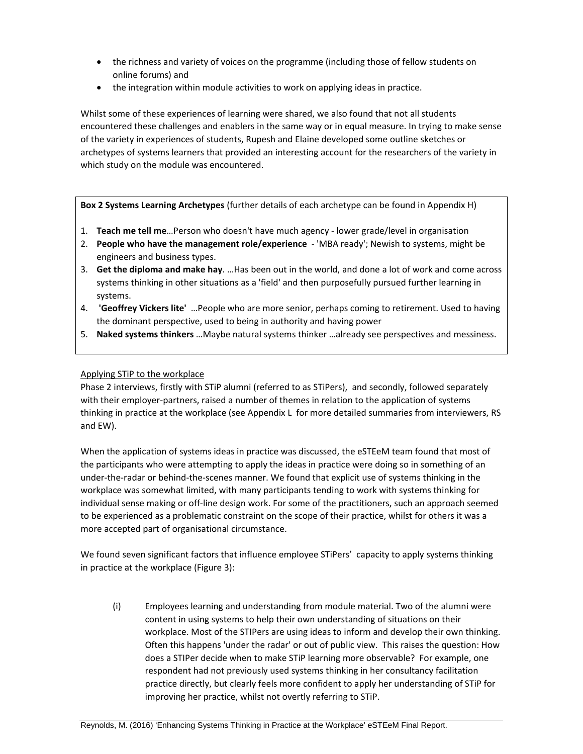- the richness and variety of voices on the programme (including those of fellow students on online forums) and
- the integration within module activities to work on applying ideas in practice.

Whilst some of these experiences of learning were shared, we also found that not all students encountered these challenges and enablers in the same way or in equal measure. In trying to make sense of the variety in experiences of students, Rupesh and Elaine developed some outline sketches or archetypes of systems learners that provided an interesting account for the researchers of the variety in which study on the module was encountered.

**Box 2 Systems Learning Archetypes** (further details of each archetype can be found in Appendix H)

- 1. **Teach me tell me**…Person who doesn't have much agency ‐ lower grade/level in organisation
- 2. **People who have the management role/experience** ‐ 'MBA ready'; Newish to systems, might be engineers and business types.
- 3. **Get the diploma and make hay**. …Has been out in the world, and done a lot of work and come across systems thinking in other situations as a 'field' and then purposefully pursued further learning in systems.
- 4. **'Geoffrey Vickers lite'** …People who are more senior, perhaps coming to retirement. Used to having the dominant perspective, used to being in authority and having power
- 5. **Naked systems thinkers** …Maybe natural systems thinker …already see perspectives and messiness.

#### Applying STiP to the workplace

Phase 2 interviews, firstly with STiP alumni (referred to as STiPers), and secondly, followed separately with their employer-partners, raised a number of themes in relation to the application of systems thinking in practice at the workplace (see Appendix L for more detailed summaries from interviewers, RS and EW).

When the application of systems ideas in practice was discussed, the eSTEeM team found that most of the participants who were attempting to apply the ideas in practice were doing so in something of an under‐the‐radar or behind‐the‐scenes manner. We found that explicit use of systems thinking in the workplace was somewhat limited, with many participants tending to work with systems thinking for individual sense making or off‐line design work. For some of the practitioners, such an approach seemed to be experienced as a problematic constraint on the scope of their practice, whilst for others it was a more accepted part of organisational circumstance.

We found seven significant factors that influence employee STiPers' capacity to apply systems thinking in practice at the workplace (Figure 3):

(i) Employees learning and understanding from module material. Two of the alumni were content in using systems to help their own understanding of situations on their workplace. Most of the STIPers are using ideas to inform and develop their own thinking. Often this happens 'under the radar' or out of public view. This raises the question: How does a STIPer decide when to make STiP learning more observable? For example, one respondent had not previously used systems thinking in her consultancy facilitation practice directly, but clearly feels more confident to apply her understanding of STiP for improving her practice, whilst not overtly referring to STiP.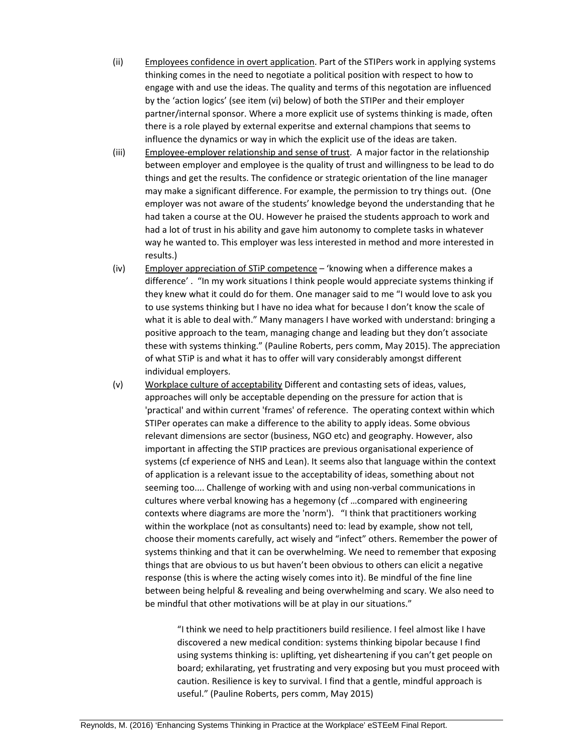- (ii) Employees confidence in overt application. Part of the STIPers work in applying systems thinking comes in the need to negotiate a political position with respect to how to engage with and use the ideas. The quality and terms of this negotation are influenced by the 'action logics' (see item (vi) below) of both the STIPer and their employer partner/internal sponsor. Where a more explicit use of systems thinking is made, often there is a role played by external experitse and external champions that seems to influence the dynamics or way in which the explicit use of the ideas are taken.
- (iii) Employee-employer relationship and sense of trust. A major factor in the relationship between employer and employee is the quality of trust and willingness to be lead to do things and get the results. The confidence or strategic orientation of the line manager may make a significant difference. For example, the permission to try things out. (One employer was not aware of the students' knowledge beyond the understanding that he had taken a course at the OU. However he praised the students approach to work and had a lot of trust in his ability and gave him autonomy to complete tasks in whatever way he wanted to. This employer was less interested in method and more interested in results.)
- (iv) Employer appreciation of STiP competence 'knowing when a difference makes a difference' . "In my work situations I think people would appreciate systems thinking if they knew what it could do for them. One manager said to me "I would love to ask you to use systems thinking but I have no idea what for because I don't know the scale of what it is able to deal with." Many managers I have worked with understand: bringing a positive approach to the team, managing change and leading but they don't associate these with systems thinking." (Pauline Roberts, pers comm, May 2015). The appreciation of what STiP is and what it has to offer will vary considerably amongst different individual employers.
- (v) Workplace culture of acceptability Different and contasting sets of ideas, values, approaches will only be acceptable depending on the pressure for action that is 'practical' and within current 'frames' of reference. The operating context within which STIPer operates can make a difference to the ability to apply ideas. Some obvious relevant dimensions are sector (business, NGO etc) and geography. However, also important in affecting the STIP practices are previous organisational experience of systems (cf experience of NHS and Lean). It seems also that language within the context of application is a relevant issue to the acceptability of ideas, something about not seeming too.... Challenge of working with and using non-verbal communications in cultures where verbal knowing has a hegemony (cf …compared with engineering contexts where diagrams are more the 'norm'). "I think that practitioners working within the workplace (not as consultants) need to: lead by example, show not tell, choose their moments carefully, act wisely and "infect" others. Remember the power of systems thinking and that it can be overwhelming. We need to remember that exposing things that are obvious to us but haven't been obvious to others can elicit a negative response (this is where the acting wisely comes into it). Be mindful of the fine line between being helpful & revealing and being overwhelming and scary. We also need to be mindful that other motivations will be at play in our situations."

"I think we need to help practitioners build resilience. I feel almost like I have discovered a new medical condition: systems thinking bipolar because I find using systems thinking is: uplifting, yet disheartening if you can't get people on board; exhilarating, yet frustrating and very exposing but you must proceed with caution. Resilience is key to survival. I find that a gentle, mindful approach is useful." (Pauline Roberts, pers comm, May 2015)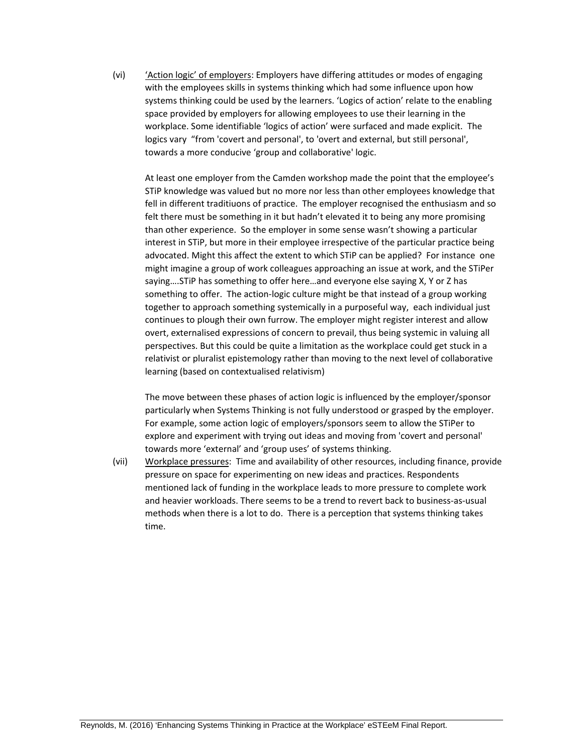(vi) 'Action logic' of employers: Employers have differing attitudes or modes of engaging with the employees skills in systems thinking which had some influence upon how systems thinking could be used by the learners. 'Logics of action' relate to the enabling space provided by employers for allowing employees to use their learning in the workplace. Some identifiable 'logics of action' were surfaced and made explicit. The logics vary "from 'covert and personal', to 'overt and external, but still personal', towards a more conducive 'group and collaborative' logic.

At least one employer from the Camden workshop made the point that the employee's STiP knowledge was valued but no more nor less than other employees knowledge that fell in different traditiuons of practice. The employer recognised the enthusiasm and so felt there must be something in it but hadn't elevated it to being any more promising than other experience. So the employer in some sense wasn't showing a particular interest in STiP, but more in their employee irrespective of the particular practice being advocated. Might this affect the extent to which STiP can be applied? For instance one might imagine a group of work colleagues approaching an issue at work, and the STiPer saying….STiP has something to offer here…and everyone else saying X, Y or Z has something to offer. The action-logic culture might be that instead of a group working together to approach something systemically in a purposeful way, each individual just continues to plough their own furrow. The employer might register interest and allow overt, externalised expressions of concern to prevail, thus being systemic in valuing all perspectives. But this could be quite a limitation as the workplace could get stuck in a relativist or pluralist epistemology rather than moving to the next level of collaborative learning (based on contextualised relativism)

The move between these phases of action logic is influenced by the employer/sponsor particularly when Systems Thinking is not fully understood or grasped by the employer. For example, some action logic of employers/sponsors seem to allow the STiPer to explore and experiment with trying out ideas and moving from 'covert and personal' towards more 'external' and 'group uses' of systems thinking.

(vii) Workplace pressures: Time and availability of other resources, including finance, provide pressure on space for experimenting on new ideas and practices. Respondents mentioned lack of funding in the workplace leads to more pressure to complete work and heavier workloads. There seems to be a trend to revert back to business‐as‐usual methods when there is a lot to do. There is a perception that systems thinking takes time.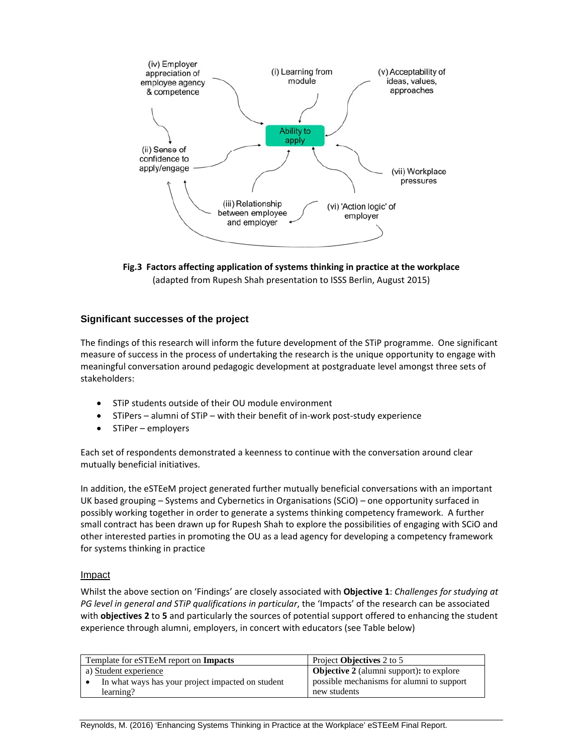

**Fig.3 Factors affecting application of systems thinking in practice at the workplace**  (adapted from Rupesh Shah presentation to ISSS Berlin, August 2015)

# **Significant successes of the project**

The findings of this research will inform the future development of the STiP programme. One significant measure of success in the process of undertaking the research is the unique opportunity to engage with meaningful conversation around pedagogic development at postgraduate level amongst three sets of stakeholders:

- STiP students outside of their OU module environment
- STiPers alumni of STiP with their benefit of in-work post-study experience
- STiPer employers

Each set of respondents demonstrated a keenness to continue with the conversation around clear mutually beneficial initiatives.

In addition, the eSTEeM project generated further mutually beneficial conversations with an important UK based grouping – Systems and Cybernetics in Organisations (SCiO) – one opportunity surfaced in possibly working together in order to generate a systems thinking competency framework. A further small contract has been drawn up for Rupesh Shah to explore the possibilities of engaging with SCiO and other interested parties in promoting the OU as a lead agency for developing a competency framework for systems thinking in practice

#### Impact

Whilst the above section on 'Findings' are closely associated with **Objective 1**: *Challenges for studying at PG level in general and STiP qualifications in particular*, the 'Impacts' of the research can be associated with **objectives 2** to **5** and particularly the sources of potential support offered to enhancing the student experience through alumni, employers, in concert with educators (see Table below)

| Template for eSTEeM report on <b>Impacts</b>      | Project <b>Objectives</b> 2 to 5                |  |
|---------------------------------------------------|-------------------------------------------------|--|
| a) Student experience                             | <b>Objective 2</b> (alumni support): to explore |  |
| In what ways has your project impacted on student | possible mechanisms for alumni to support       |  |
| learning?                                         | new students                                    |  |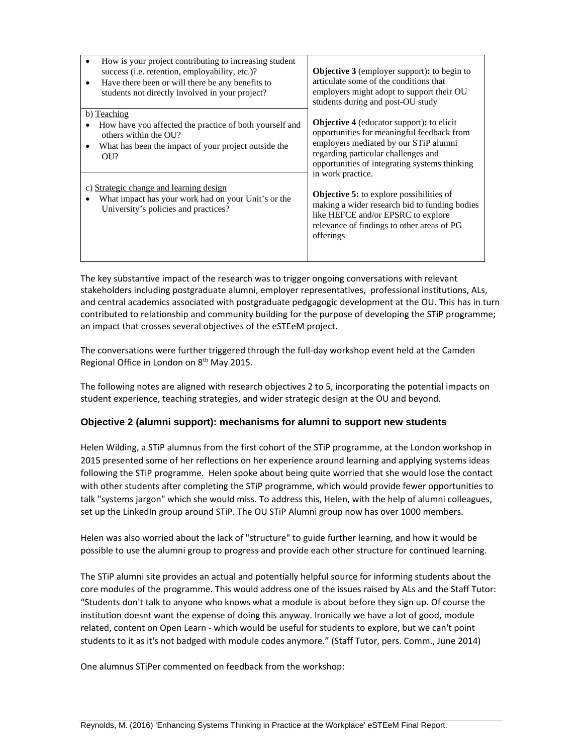| ٠ | How is your project contributing to increasing student<br>success (i.e. retention, employability, etc.)?<br>Have there been or will there be any benefits to<br>students not directly involved in your project? | <b>Objective 3</b> (employer support): to begin to<br>articulate some of the conditions that<br>employers might adopt to support their OU<br>students during and post-OU study                                                  |  |
|---|-----------------------------------------------------------------------------------------------------------------------------------------------------------------------------------------------------------------|---------------------------------------------------------------------------------------------------------------------------------------------------------------------------------------------------------------------------------|--|
|   | b) Teaching<br>How have you affected the practice of both yourself and<br>others within the OU?<br>What has been the impact of your project outside the<br>OUI?                                                 | <b>Objective 4</b> (educator support): to elicit<br>opportunities for meaningful feedback from<br>employers mediated by our STiP alumni<br>regarding particular challenges and<br>opportunities of integrating systems thinking |  |
|   | c) Strategic change and learning design<br>What impact has your work had on your Unit's or the<br>University's policies and practices?                                                                          | in work practice.<br><b>Objective 5:</b> to explore possibilities of<br>making a wider research bid to funding bodies<br>like HEFCE and/or EPSRC to explore<br>relevance of findings to other areas of PG<br>offerings          |  |

The key substantive impact of the research was to trigger ongoing conversations with relevant stakeholders including postgraduate alumni, employer representatives, professional institutions, ALs, and central academics associated with postgraduate pedgagogic development at the OU. This has in turn contributed to relationship and community building for the purpose of developing the STiP programme; an impact that crosses several objectives of the eSTEeM project.

The conversations were further triggered through the full‐day workshop event held at the Camden Regional Office in London on 8th May 2015.

The following notes are aligned with research objectives 2 to 5, incorporating the potential impacts on student experience, teaching strategies, and wider strategic design at the OU and beyond.

# **Objective 2 (alumni support): mechanisms for alumni to support new students**

Helen Wilding, a STiP alumnus from the first cohort of the STiP programme, at the London workshop in 2015 presented some of her reflections on her experience around learning and applying systems ideas following the STiP programme. Helen spoke about being quite worried that she would lose the contact with other students after completing the STiP programme, which would provide fewer opportunities to talk "systems jargon" which she would miss. To address this, Helen, with the help of alumni colleagues, set up the LinkedIn group around STiP. The OU STiP Alumni group now has over 1000 members.

Helen was also worried about the lack of "structure" to guide further learning, and how it would be possible to use the alumni group to progress and provide each other structure for continued learning.

The STiP alumni site provides an actual and potentially helpful source for informing students about the core modules of the programme. This would address one of the issues raised by ALs and the Staff Tutor: "Students don't talk to anyone who knows what a module is about before they sign up. Of course the institution doesnt want the expense of doing this anyway. Ironically we have a lot of good, module related, content on Open Learn ‐ which would be useful for students to explore, but we can't point students to it as it's not badged with module codes anymore." (Staff Tutor, pers. Comm., June 2014)

One alumnus STiPer commented on feedback from the workshop: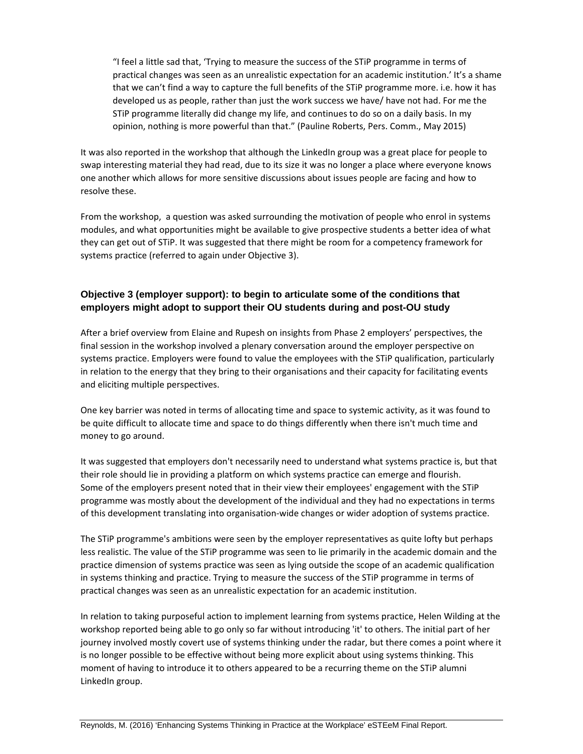"I feel a little sad that, 'Trying to measure the success of the STiP programme in terms of practical changes was seen as an unrealistic expectation for an academic institution.' It's a shame that we can't find a way to capture the full benefits of the STiP programme more. i.e. how it has developed us as people, rather than just the work success we have/ have not had. For me the STiP programme literally did change my life, and continues to do so on a daily basis. In my opinion, nothing is more powerful than that." (Pauline Roberts, Pers. Comm., May 2015)

It was also reported in the workshop that although the LinkedIn group was a great place for people to swap interesting material they had read, due to its size it was no longer a place where everyone knows one another which allows for more sensitive discussions about issues people are facing and how to resolve these.

From the workshop, a question was asked surrounding the motivation of people who enrol in systems modules, and what opportunities might be available to give prospective students a better idea of what they can get out of STiP. It was suggested that there might be room for a competency framework for systems practice (referred to again under Objective 3).

# **Objective 3 (employer support): to begin to articulate some of the conditions that employers might adopt to support their OU students during and post-OU study**

After a brief overview from Elaine and Rupesh on insights from Phase 2 employers' perspectives, the final session in the workshop involved a plenary conversation around the employer perspective on systems practice. Employers were found to value the employees with the STiP qualification, particularly in relation to the energy that they bring to their organisations and their capacity for facilitating events and eliciting multiple perspectives.

One key barrier was noted in terms of allocating time and space to systemic activity, as it was found to be quite difficult to allocate time and space to do things differently when there isn't much time and money to go around.

It was suggested that employers don't necessarily need to understand what systems practice is, but that their role should lie in providing a platform on which systems practice can emerge and flourish. Some of the employers present noted that in their view their employees' engagement with the STiP programme was mostly about the development of the individual and they had no expectations in terms of this development translating into organisation‐wide changes or wider adoption of systems practice.

The STiP programme's ambitions were seen by the employer representatives as quite lofty but perhaps less realistic. The value of the STiP programme was seen to lie primarily in the academic domain and the practice dimension of systems practice was seen as lying outside the scope of an academic qualification in systems thinking and practice. Trying to measure the success of the STiP programme in terms of practical changes was seen as an unrealistic expectation for an academic institution.

In relation to taking purposeful action to implement learning from systems practice, Helen Wilding at the workshop reported being able to go only so far without introducing 'it' to others. The initial part of her journey involved mostly covert use of systems thinking under the radar, but there comes a point where it is no longer possible to be effective without being more explicit about using systems thinking. This moment of having to introduce it to others appeared to be a recurring theme on the STiP alumni LinkedIn group.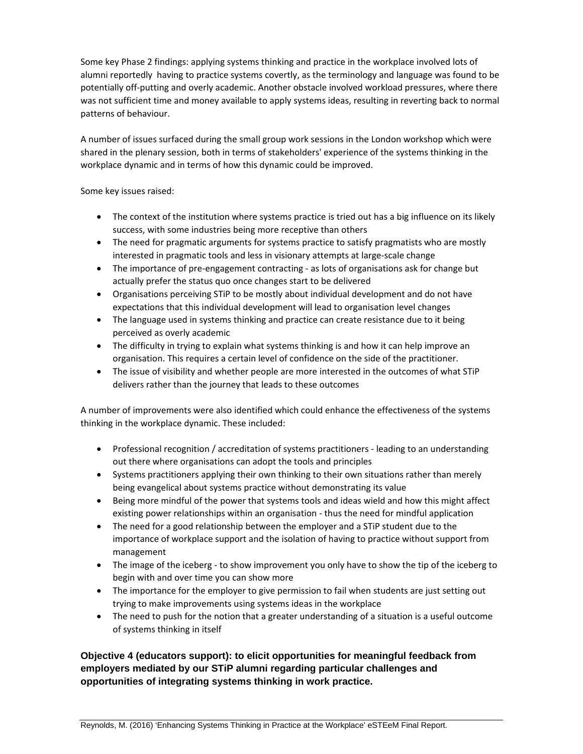Some key Phase 2 findings: applying systems thinking and practice in the workplace involved lots of alumni reportedly having to practice systems covertly, as the terminology and language was found to be potentially off-putting and overly academic. Another obstacle involved workload pressures, where there was not sufficient time and money available to apply systems ideas, resulting in reverting back to normal patterns of behaviour.

A number of issues surfaced during the small group work sessions in the London workshop which were shared in the plenary session, both in terms of stakeholders' experience of the systems thinking in the workplace dynamic and in terms of how this dynamic could be improved.

Some key issues raised:

- The context of the institution where systems practice is tried out has a big influence on its likely success, with some industries being more receptive than others
- The need for pragmatic arguments for systems practice to satisfy pragmatists who are mostly interested in pragmatic tools and less in visionary attempts at large‐scale change
- The importance of pre-engagement contracting as lots of organisations ask for change but actually prefer the status quo once changes start to be delivered
- Organisations perceiving STiP to be mostly about individual development and do not have expectations that this individual development will lead to organisation level changes
- The language used in systems thinking and practice can create resistance due to it being perceived as overly academic
- The difficulty in trying to explain what systems thinking is and how it can help improve an organisation. This requires a certain level of confidence on the side of the practitioner.
- The issue of visibility and whether people are more interested in the outcomes of what STiP delivers rather than the journey that leads to these outcomes

A number of improvements were also identified which could enhance the effectiveness of the systems thinking in the workplace dynamic. These included:

- Professional recognition / accreditation of systems practitioners leading to an understanding out there where organisations can adopt the tools and principles
- Systems practitioners applying their own thinking to their own situations rather than merely being evangelical about systems practice without demonstrating its value
- Being more mindful of the power that systems tools and ideas wield and how this might affect existing power relationships within an organisation ‐ thus the need for mindful application
- The need for a good relationship between the employer and a STiP student due to the importance of workplace support and the isolation of having to practice without support from management
- The image of the iceberg to show improvement you only have to show the tip of the iceberg to begin with and over time you can show more
- The importance for the employer to give permission to fail when students are just setting out trying to make improvements using systems ideas in the workplace
- The need to push for the notion that a greater understanding of a situation is a useful outcome of systems thinking in itself

**Objective 4 (educators support): to elicit opportunities for meaningful feedback from employers mediated by our STiP alumni regarding particular challenges and opportunities of integrating systems thinking in work practice.**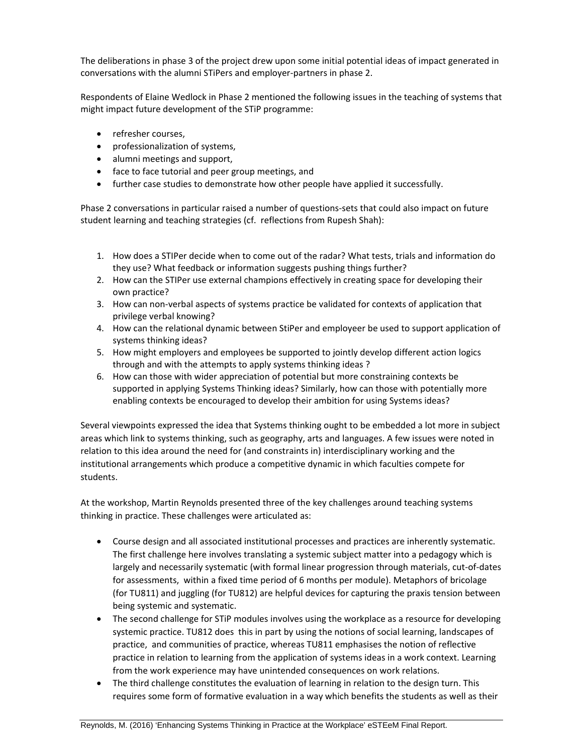The deliberations in phase 3 of the project drew upon some initial potential ideas of impact generated in conversations with the alumni STiPers and employer‐partners in phase 2.

Respondents of Elaine Wedlock in Phase 2 mentioned the following issues in the teaching of systems that might impact future development of the STiP programme:

- refresher courses.
- professionalization of systems,
- alumni meetings and support,
- face to face tutorial and peer group meetings, and
- further case studies to demonstrate how other people have applied it successfully.

Phase 2 conversations in particular raised a number of questions‐sets that could also impact on future student learning and teaching strategies (cf. reflections from Rupesh Shah):

- 1. How does a STIPer decide when to come out of the radar? What tests, trials and information do they use? What feedback or information suggests pushing things further?
- 2. How can the STIPer use external champions effectively in creating space for developing their own practice?
- 3. How can non‐verbal aspects of systems practice be validated for contexts of application that privilege verbal knowing?
- 4. How can the relational dynamic between StiPer and employeer be used to support application of systems thinking ideas?
- 5. How might employers and employees be supported to jointly develop different action logics through and with the attempts to apply systems thinking ideas ?
- 6. How can those with wider appreciation of potential but more constraining contexts be supported in applying Systems Thinking ideas? Similarly, how can those with potentially more enabling contexts be encouraged to develop their ambition for using Systems ideas?

Several viewpoints expressed the idea that Systems thinking ought to be embedded a lot more in subject areas which link to systems thinking, such as geography, arts and languages. A few issues were noted in relation to this idea around the need for (and constraints in) interdisciplinary working and the institutional arrangements which produce a competitive dynamic in which faculties compete for students.

At the workshop, Martin Reynolds presented three of the key challenges around teaching systems thinking in practice. These challenges were articulated as:

- Course design and all associated institutional processes and practices are inherently systematic. The first challenge here involves translating a systemic subject matter into a pedagogy which is largely and necessarily systematic (with formal linear progression through materials, cut‐of‐dates for assessments, within a fixed time period of 6 months per module). Metaphors of bricolage (for TU811) and juggling (for TU812) are helpful devices for capturing the praxis tension between being systemic and systematic.
- The second challenge for STiP modules involves using the workplace as a resource for developing systemic practice. TU812 does this in part by using the notions of social learning, landscapes of practice, and communities of practice, whereas TU811 emphasises the notion of reflective practice in relation to learning from the application of systems ideas in a work context. Learning from the work experience may have unintended consequences on work relations.
- The third challenge constitutes the evaluation of learning in relation to the design turn. This requires some form of formative evaluation in a way which benefits the students as well as their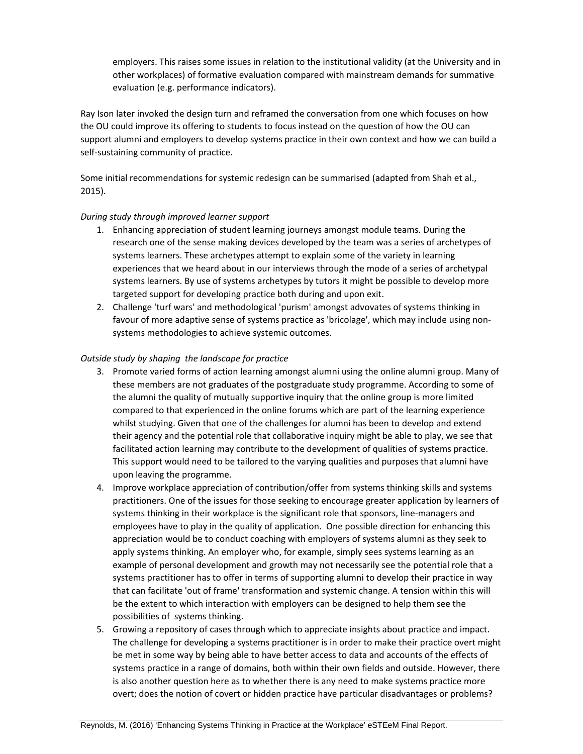employers. This raises some issues in relation to the institutional validity (at the University and in other workplaces) of formative evaluation compared with mainstream demands for summative evaluation (e.g. performance indicators).

Ray Ison later invoked the design turn and reframed the conversation from one which focuses on how the OU could improve its offering to students to focus instead on the question of how the OU can support alumni and employers to develop systems practice in their own context and how we can build a self‐sustaining community of practice.

Some initial recommendations for systemic redesign can be summarised (adapted from Shah et al., 2015).

#### *During study through improved learner support*

- 1. Enhancing appreciation of student learning journeys amongst module teams. During the research one of the sense making devices developed by the team was a series of archetypes of systems learners. These archetypes attempt to explain some of the variety in learning experiences that we heard about in our interviews through the mode of a series of archetypal systems learners. By use of systems archetypes by tutors it might be possible to develop more targeted support for developing practice both during and upon exit.
- 2. Challenge 'turf wars' and methodological 'purism' amongst advovates of systems thinking in favour of more adaptive sense of systems practice as 'bricolage', which may include using nonsystems methodologies to achieve systemic outcomes.

### *Outside study by shaping the landscape for practice*

- 3. Promote varied forms of action learning amongst alumni using the online alumni group. Many of these members are not graduates of the postgraduate study programme. According to some of the alumni the quality of mutually supportive inquiry that the online group is more limited compared to that experienced in the online forums which are part of the learning experience whilst studying. Given that one of the challenges for alumni has been to develop and extend their agency and the potential role that collaborative inquiry might be able to play, we see that facilitated action learning may contribute to the development of qualities of systems practice. This support would need to be tailored to the varying qualities and purposes that alumni have upon leaving the programme.
- 4. Improve workplace appreciation of contribution/offer from systems thinking skills and systems practitioners. One of the issues for those seeking to encourage greater application by learners of systems thinking in their workplace is the significant role that sponsors, line-managers and employees have to play in the quality of application. One possible direction for enhancing this appreciation would be to conduct coaching with employers of systems alumni as they seek to apply systems thinking. An employer who, for example, simply sees systems learning as an example of personal development and growth may not necessarily see the potential role that a systems practitioner has to offer in terms of supporting alumni to develop their practice in way that can facilitate 'out of frame' transformation and systemic change. A tension within this will be the extent to which interaction with employers can be designed to help them see the possibilities of systems thinking.
- 5. Growing a repository of cases through which to appreciate insights about practice and impact. The challenge for developing a systems practitioner is in order to make their practice overt might be met in some way by being able to have better access to data and accounts of the effects of systems practice in a range of domains, both within their own fields and outside. However, there is also another question here as to whether there is any need to make systems practice more overt; does the notion of covert or hidden practice have particular disadvantages or problems?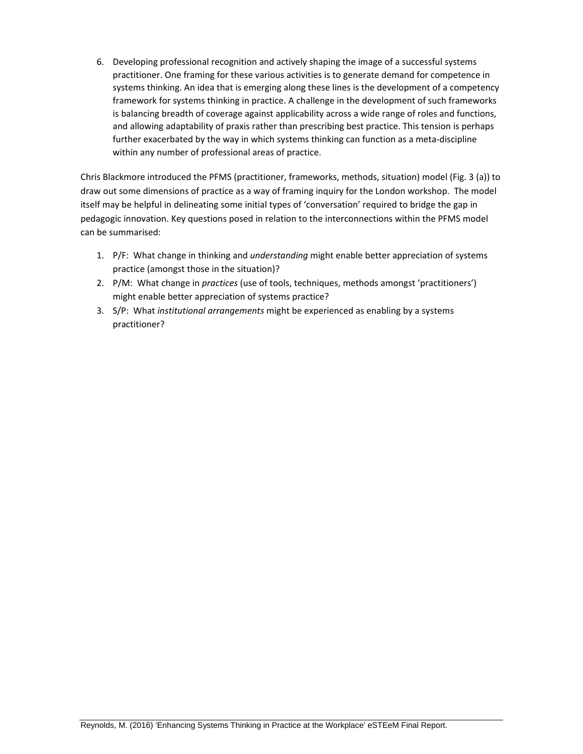6. Developing professional recognition and actively shaping the image of a successful systems practitioner. One framing for these various activities is to generate demand for competence in systems thinking. An idea that is emerging along these lines is the development of a competency framework for systems thinking in practice. A challenge in the development of such frameworks is balancing breadth of coverage against applicability across a wide range of roles and functions, and allowing adaptability of praxis rather than prescribing best practice. This tension is perhaps further exacerbated by the way in which systems thinking can function as a meta‐discipline within any number of professional areas of practice.

Chris Blackmore introduced the PFMS (practitioner, frameworks, methods, situation) model (Fig. 3 (a)) to draw out some dimensions of practice as a way of framing inquiry for the London workshop. The model itself may be helpful in delineating some initial types of 'conversation' required to bridge the gap in pedagogic innovation. Key questions posed in relation to the interconnections within the PFMS model can be summarised:

- 1. P/F: What change in thinking and *understanding* might enable better appreciation of systems practice (amongst those in the situation)?
- 2. P/M: What change in *practices* (use of tools, techniques, methods amongst 'practitioners') might enable better appreciation of systems practice?
- 3. S/P: What *institutional arrangements* might be experienced as enabling by a systems practitioner?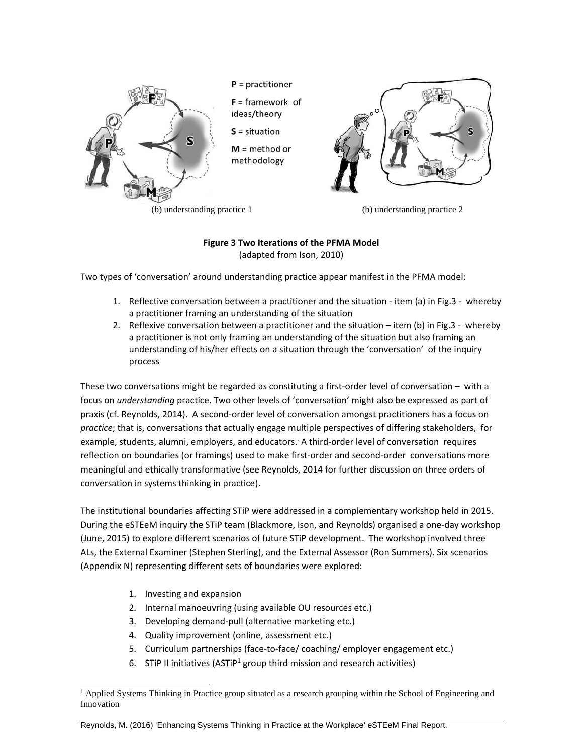

(b) understanding practice 1 (b) understanding practice 2

# **Figure 3 Two Iterations of the PFMA Model** (adapted from Ison, 2010)

Two types of 'conversation' around understanding practice appear manifest in the PFMA model:

- 1. Reflective conversation between a practitioner and the situation ‐ item (a) in Fig.3 ‐ whereby a practitioner framing an understanding of the situation
- 2. Reflexive conversation between a practitioner and the situation item (b) in Fig.3 whereby a practitioner is not only framing an understanding of the situation but also framing an understanding of his/her effects on a situation through the 'conversation' of the inquiry process

These two conversations might be regarded as constituting a first-order level of conversation – with a focus on *understanding* practice. Two other levels of 'conversation' might also be expressed as part of praxis (cf. Reynolds, 2014). A second‐order level of conversation amongst practitioners has a focus on *practice*; that is, conversations that actually engage multiple perspectives of differing stakeholders, for example, students, alumni, employers, and educators. A third-order level of conversation requires reflection on boundaries (or framings) used to make first-order and second-order conversations more meaningful and ethically transformative (see Reynolds, 2014 for further discussion on three orders of conversation in systems thinking in practice).

The institutional boundaries affecting STiP were addressed in a complementary workshop held in 2015. During the eSTEeM inquiry the STiP team (Blackmore, Ison, and Reynolds) organised a one‐day workshop (June, 2015) to explore different scenarios of future STiP development. The workshop involved three ALs, the External Examiner (Stephen Sterling), and the External Assessor (Ron Summers). Six scenarios (Appendix N) representing different sets of boundaries were explored:

1. Investing and expansion

 $\overline{a}$ 

- 2. Internal manoeuvring (using available OU resources etc.)
- 3. Developing demand‐pull (alternative marketing etc.)
- 4. Quality improvement (online, assessment etc.)
- 5. Curriculum partnerships (face-to-face/ coaching/ employer engagement etc.)
- 6. STiP II initiatives (ASTiP<sup>1</sup> group third mission and research activities)

Reynolds, M. (2016) 'Enhancing Systems Thinking in Practice at the Workplace' eSTEeM Final Report.

<sup>&</sup>lt;sup>1</sup> Applied Systems Thinking in Practice group situated as a research grouping within the School of Engineering and Innovation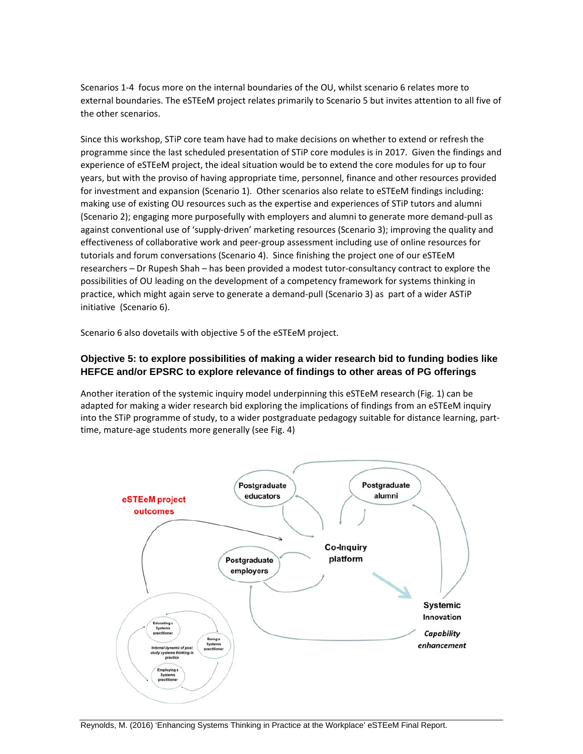Scenarios 1‐4 focus more on the internal boundaries of the OU, whilst scenario 6 relates more to external boundaries. The eSTEeM project relates primarily to Scenario 5 but invites attention to all five of the other scenarios.

Since this workshop, STiP core team have had to make decisions on whether to extend or refresh the programme since the last scheduled presentation of STiP core modules is in 2017. Given the findings and experience of eSTEeM project, the ideal situation would be to extend the core modules for up to four years, but with the proviso of having appropriate time, personnel, finance and other resources provided for investment and expansion (Scenario 1). Other scenarios also relate to eSTEeM findings including: making use of existing OU resources such as the expertise and experiences of STiP tutors and alumni (Scenario 2); engaging more purposefully with employers and alumni to generate more demand‐pull as against conventional use of 'supply‐driven' marketing resources (Scenario 3); improving the quality and effectiveness of collaborative work and peer‐group assessment including use of online resources for tutorials and forum conversations (Scenario 4). Since finishing the project one of our eSTEeM researchers – Dr Rupesh Shah – has been provided a modest tutor-consultancy contract to explore the possibilities of OU leading on the development of a competency framework for systems thinking in practice, which might again serve to generate a demand‐pull (Scenario 3) as part of a wider ASTiP initiative (Scenario 6).

Scenario 6 also dovetails with objective 5 of the eSTEeM project.

# **Objective 5: to explore possibilities of making a wider research bid to funding bodies like HEFCE and/or EPSRC to explore relevance of findings to other areas of PG offerings**

Another iteration of the systemic inquiry model underpinning this eSTEeM research (Fig. 1) can be adapted for making a wider research bid exploring the implications of findings from an eSTEeM inquiry into the STiP programme of study, to a wider postgraduate pedagogy suitable for distance learning, part‐ time, mature‐age students more generally (see Fig. 4)

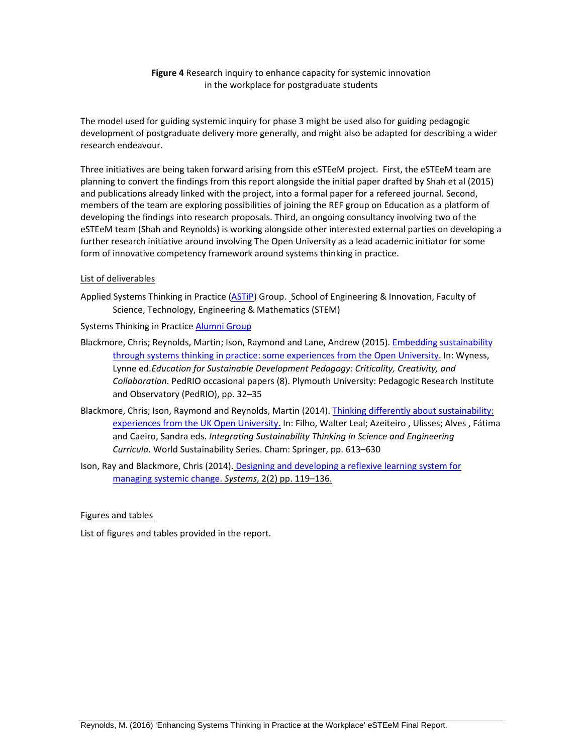### **Figure 4** Research inquiry to enhance capacity for systemic innovation in the workplace for postgraduate students

The model used for guiding systemic inquiry for phase 3 might be used also for guiding pedagogic development of postgraduate delivery more generally, and might also be adapted for describing a wider research endeavour.

Three initiatives are being taken forward arising from this eSTEeM project. First, the eSTEeM team are planning to convert the findings from this report alongside the initial paper drafted by Shah et al (2015) and publications already linked with the project, into a formal paper for a refereed journal. Second, members of the team are exploring possibilities of joining the REF group on Education as a platform of developing the findings into research proposals. Third, an ongoing consultancy involving two of the eSTEeM team (Shah and Reynolds) is working alongside other interested external parties on developing a further research initiative around involving The Open University as a lead academic initiator for some form of innovative competency framework around systems thinking in practice.

#### List of deliverables

Applied Systems Thinking in Practice (ASTIP) Group. School of Engineering & Innovation, Faculty of Science, Technology, Engineering & Mathematics (STEM)

Systems Thinking in Practice Alumni Group

- Blackmore, Chris; Reynolds, Martin; Ison, Raymond and Lane, Andrew (2015). Embedding sustainability through systems thinking in practice: some experiences from the Open University. In: Wyness, Lynne ed.*Education for Sustainable Development Pedagogy: Criticality, Creativity, and Collaboration.* PedRIO occasional papers (8). Plymouth University: Pedagogic Research Institute and Observatory (PedRIO), pp. 32–35
- Blackmore, Chris; Ison, Raymond and Reynolds, Martin (2014). Thinking differently about sustainability: experiences from the UK Open University. In: Filho, Walter Leal; Azeiteiro, Ulisses; Alves, Fátima and Caeiro, Sandra eds. *Integrating Sustainability Thinking in Science and Engineering Curricula.* World Sustainability Series. Cham: Springer, pp. 613–630
- Ison, Ray and Blackmore, Chris (2014). Designing and developing a reflexive learning system for managing systemic change. *Systems*, 2(2) pp. 119–136.

#### Figures and tables

List of figures and tables provided in the report.